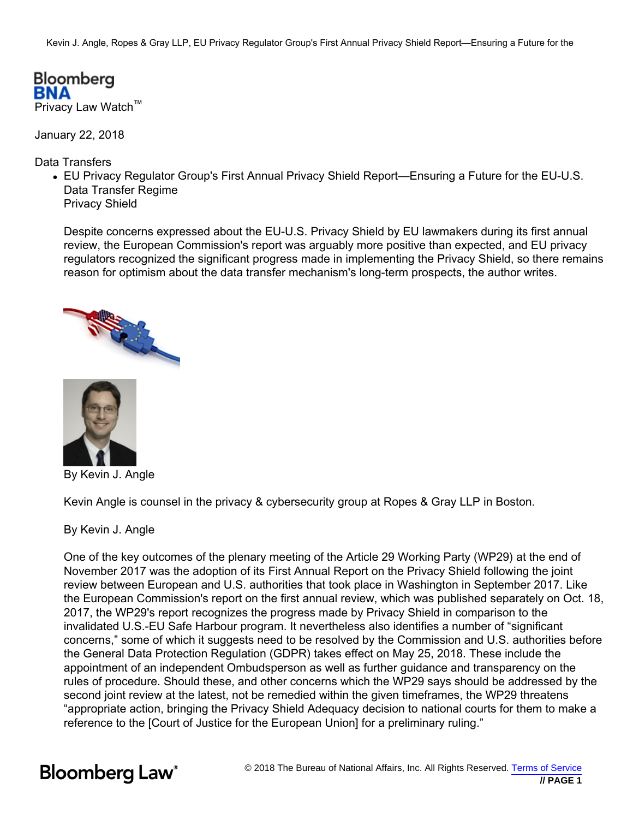Kevin J. Angle, Ropes & Gray LLP, EU Privacy Regulator Group's First Annual Privacy Shield Report—Ensuring a Future for the

Bloomberg RNA Privacy Law Watch™

January 22, 2018

Data Transfers

EU Privacy Regulator Group's First Annual Privacy Shield Report—Ensuring a Future for the EU-U.S. Data Transfer Regime Privacy Shield

Despite concerns expressed about the EU-U.S. Privacy Shield by EU lawmakers during its first annual review, the European Commission's report was arguably more positive than expected, and EU privacy regulators recognized the significant progress made in implementing the Privacy Shield, so there remains reason for optimism about the data transfer mechanism's long-term prospects, the author writes.





By Kevin J. Angle

Kevin Angle is counsel in the privacy & cybersecurity group at Ropes & Gray LLP in Boston.

By Kevin J. Angle

One of the key outcomes of the plenary meeting of the Article 29 Working Party (WP29) at the end of November 2017 was the adoption of its First Annual Report on the Privacy Shield following the joint review between European and U.S. authorities that took place in Washington in September 2017. Like the European Commission's report on the first annual review, which was published separately on Oct. 18, 2017, the WP29's report recognizes the progress made by Privacy Shield in comparison to the invalidated U.S.-EU Safe Harbour program. It nevertheless also identifies a number of "significant concerns," some of which it suggests need to be resolved by the Commission and U.S. authorities before the General Data Protection Regulation (GDPR) takes effect on May 25, 2018. These include the appointment of an independent Ombudsperson as well as further guidance and transparency on the rules of procedure. Should these, and other concerns which the WP29 says should be addressed by the second joint review at the latest, not be remedied within the given timeframes, the WP29 threatens "appropriate action, bringing the Privacy Shield Adequacy decision to national courts for them to make a reference to the [Court of Justice for the European Union] for a preliminary ruling."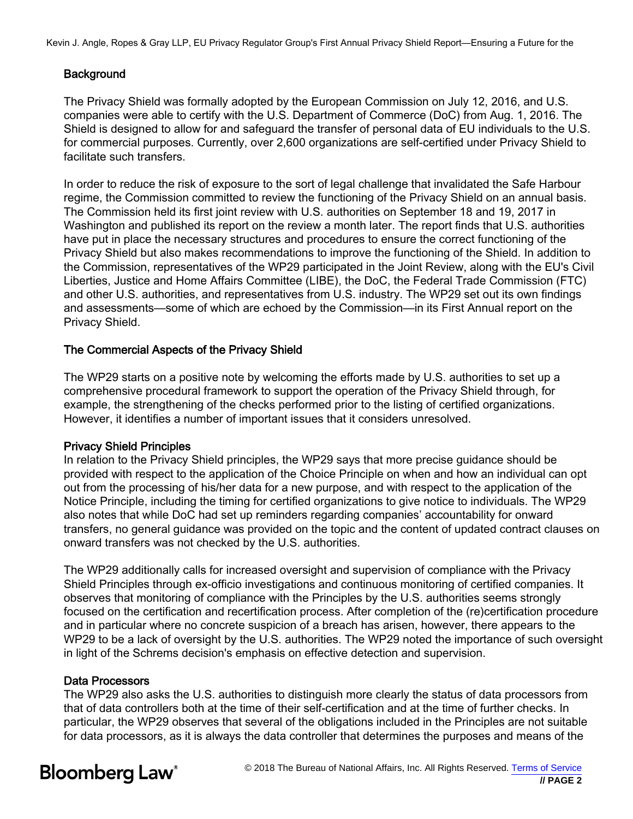Kevin J. Angle, Ropes & Gray LLP, EU Privacy Regulator Group's First Annual Privacy Shield Report—Ensuring a Future for the

# **Background**

The Privacy Shield was formally adopted by the European Commission on July 12, 2016, and U.S. companies were able to certify with the U.S. Department of Commerce (DoC) from Aug. 1, 2016. The Shield is designed to allow for and safeguard the transfer of personal data of EU individuals to the U.S. for commercial purposes. Currently, over 2,600 organizations are self-certified under Privacy Shield to facilitate such transfers.

In order to reduce the risk of exposure to the sort of legal challenge that invalidated the Safe Harbour regime, the Commission committed to review the functioning of the Privacy Shield on an annual basis. The Commission held its first joint review with U.S. authorities on September 18 and 19, 2017 in Washington and published its report on the review a month later. The report finds that U.S. authorities have put in place the necessary structures and procedures to ensure the correct functioning of the Privacy Shield but also makes recommendations to improve the functioning of the Shield. In addition to the Commission, representatives of the WP29 participated in the Joint Review, along with the EU's Civil Liberties, Justice and Home Affairs Committee (LIBE), the DoC, the Federal Trade Commission (FTC) and other U.S. authorities, and representatives from U.S. industry. The WP29 set out its own findings and assessments—some of which are echoed by the Commission—in its First Annual report on the Privacy Shield.

# The Commercial Aspects of the Privacy Shield

The WP29 starts on a positive note by welcoming the efforts made by U.S. authorities to set up a comprehensive procedural framework to support the operation of the Privacy Shield through, for example, the strengthening of the checks performed prior to the listing of certified organizations. However, it identifies a number of important issues that it considers unresolved.

# Privacy Shield Principles

In relation to the Privacy Shield principles, the WP29 says that more precise guidance should be provided with respect to the application of the Choice Principle on when and how an individual can opt out from the processing of his/her data for a new purpose, and with respect to the application of the Notice Principle, including the timing for certified organizations to give notice to individuals. The WP29 also notes that while DoC had set up reminders regarding companies' accountability for onward transfers, no general guidance was provided on the topic and the content of updated contract clauses on onward transfers was not checked by the U.S. authorities.

The WP29 additionally calls for increased oversight and supervision of compliance with the Privacy Shield Principles through ex-officio investigations and continuous monitoring of certified companies. It observes that monitoring of compliance with the Principles by the U.S. authorities seems strongly focused on the certification and recertification process. After completion of the (re)certification procedure and in particular where no concrete suspicion of a breach has arisen, however, there appears to the WP29 to be a lack of oversight by the U.S. authorities. The WP29 noted the importance of such oversight in light of the Schrems decision's emphasis on effective detection and supervision.

# Data Processors

The WP29 also asks the U.S. authorities to distinguish more clearly the status of data processors from that of data controllers both at the time of their self-certification and at the time of further checks. In particular, the WP29 observes that several of the obligations included in the Principles are not suitable for data processors, as it is always the data controller that determines the purposes and means of the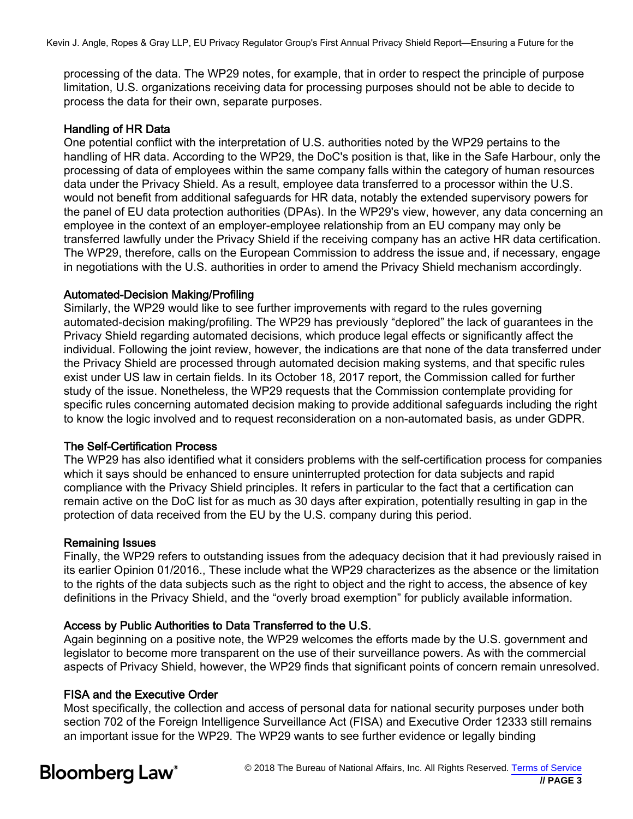processing of the data. The WP29 notes, for example, that in order to respect the principle of purpose limitation, U.S. organizations receiving data for processing purposes should not be able to decide to process the data for their own, separate purposes.

### Handling of HR Data

One potential conflict with the interpretation of U.S. authorities noted by the WP29 pertains to the handling of HR data. According to the WP29, the DoC's position is that, like in the Safe Harbour, only the processing of data of employees within the same company falls within the category of human resources data under the Privacy Shield. As a result, employee data transferred to a processor within the U.S. would not benefit from additional safeguards for HR data, notably the extended supervisory powers for the panel of EU data protection authorities (DPAs). In the WP29's view, however, any data concerning an employee in the context of an employer-employee relationship from an EU company may only be transferred lawfully under the Privacy Shield if the receiving company has an active HR data certification. The WP29, therefore, calls on the European Commission to address the issue and, if necessary, engage in negotiations with the U.S. authorities in order to amend the Privacy Shield mechanism accordingly.

### Automated-Decision Making/Profiling

Similarly, the WP29 would like to see further improvements with regard to the rules governing automated-decision making/profiling. The WP29 has previously "deplored" the lack of guarantees in the Privacy Shield regarding automated decisions, which produce legal effects or significantly affect the individual. Following the joint review, however, the indications are that none of the data transferred under the Privacy Shield are processed through automated decision making systems, and that specific rules exist under US law in certain fields. In its October 18, 2017 report, the Commission called for further study of the issue. Nonetheless, the WP29 requests that the Commission contemplate providing for specific rules concerning automated decision making to provide additional safeguards including the right to know the logic involved and to request reconsideration on a non-automated basis, as under GDPR.

#### The Self-Certification Process

The WP29 has also identified what it considers problems with the self-certification process for companies which it says should be enhanced to ensure uninterrupted protection for data subjects and rapid compliance with the Privacy Shield principles. It refers in particular to the fact that a certification can remain active on the DoC list for as much as 30 days after expiration, potentially resulting in gap in the protection of data received from the EU by the U.S. company during this period.

#### Remaining Issues

Finally, the WP29 refers to outstanding issues from the adequacy decision that it had previously raised in its earlier Opinion 01/2016., These include what the WP29 characterizes as the absence or the limitation to the rights of the data subjects such as the right to object and the right to access, the absence of key definitions in the Privacy Shield, and the "overly broad exemption" for publicly available information.

# Access by Public Authorities to Data Transferred to the U.S.

Again beginning on a positive note, the WP29 welcomes the efforts made by the U.S. government and legislator to become more transparent on the use of their surveillance powers. As with the commercial aspects of Privacy Shield, however, the WP29 finds that significant points of concern remain unresolved.

# FISA and the Executive Order

Most specifically, the collection and access of personal data for national security purposes under both section 702 of the Foreign Intelligence Surveillance Act (FISA) and Executive Order 12333 still remains an important issue for the WP29. The WP29 wants to see further evidence or legally binding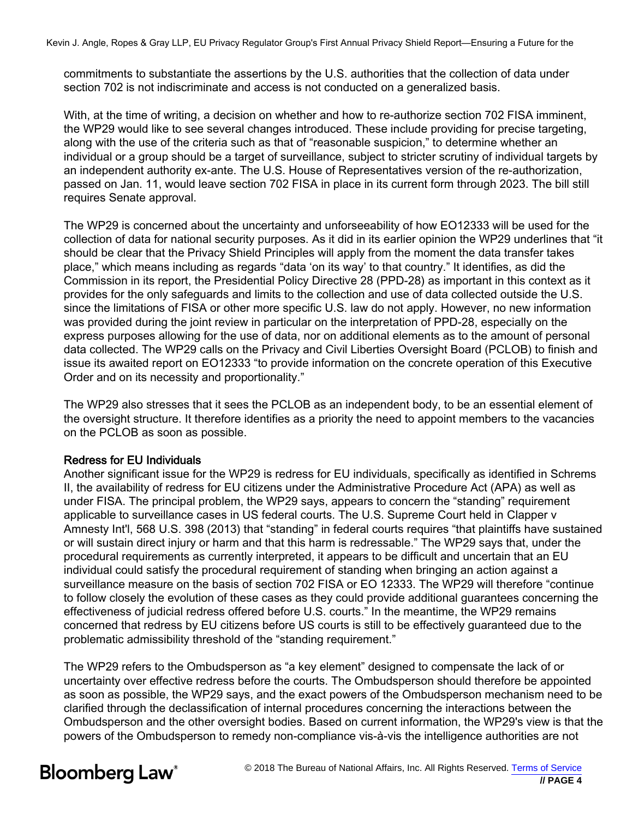commitments to substantiate the assertions by the U.S. authorities that the collection of data under section 702 is not indiscriminate and access is not conducted on a generalized basis.

With, at the time of writing, a decision on whether and how to re-authorize section 702 FISA imminent, the WP29 would like to see several changes introduced. These include providing for precise targeting, along with the use of the criteria such as that of "reasonable suspicion," to determine whether an individual or a group should be a target of surveillance, subject to stricter scrutiny of individual targets by an independent authority ex-ante. The U.S. House of Representatives version of the re-authorization, passed on Jan. 11, would leave section 702 FISA in place in its current form through 2023. The bill still requires Senate approval.

The WP29 is concerned about the uncertainty and unforseeability of how EO12333 will be used for the collection of data for national security purposes. As it did in its earlier opinion the WP29 underlines that "it should be clear that the Privacy Shield Principles will apply from the moment the data transfer takes place," which means including as regards "data 'on its way' to that country." It identifies, as did the Commission in its report, the Presidential Policy Directive 28 (PPD-28) as important in this context as it provides for the only safeguards and limits to the collection and use of data collected outside the U.S. since the limitations of FISA or other more specific U.S. law do not apply. However, no new information was provided during the joint review in particular on the interpretation of PPD-28, especially on the express purposes allowing for the use of data, nor on additional elements as to the amount of personal data collected. The WP29 calls on the Privacy and Civil Liberties Oversight Board (PCLOB) to finish and issue its awaited report on EO12333 "to provide information on the concrete operation of this Executive Order and on its necessity and proportionality."

The WP29 also stresses that it sees the PCLOB as an independent body, to be an essential element of the oversight structure. It therefore identifies as a priority the need to appoint members to the vacancies on the PCLOB as soon as possible.

# Redress for EU Individuals

Another significant issue for the WP29 is redress for EU individuals, specifically as identified in Schrems II, the availability of redress for EU citizens under the Administrative Procedure Act (APA) as well as under FISA. The principal problem, the WP29 says, appears to concern the "standing" requirement applicable to surveillance cases in US federal courts. The U.S. Supreme Court held in Clapper v Amnesty Int'l, 568 U.S. 398 (2013) that "standing" in federal courts requires "that plaintiffs have sustained or will sustain direct injury or harm and that this harm is redressable." The WP29 says that, under the procedural requirements as currently interpreted, it appears to be difficult and uncertain that an EU individual could satisfy the procedural requirement of standing when bringing an action against a surveillance measure on the basis of section 702 FISA or EO 12333. The WP29 will therefore "continue to follow closely the evolution of these cases as they could provide additional guarantees concerning the effectiveness of judicial redress offered before U.S. courts." In the meantime, the WP29 remains concerned that redress by EU citizens before US courts is still to be effectively guaranteed due to the problematic admissibility threshold of the "standing requirement."

The WP29 refers to the Ombudsperson as "a key element" designed to compensate the lack of or uncertainty over effective redress before the courts. The Ombudsperson should therefore be appointed as soon as possible, the WP29 says, and the exact powers of the Ombudsperson mechanism need to be clarified through the declassification of internal procedures concerning the interactions between the Ombudsperson and the other oversight bodies. Based on current information, the WP29's view is that the powers of the Ombudsperson to remedy non-compliance vis-à-vis the intelligence authorities are not